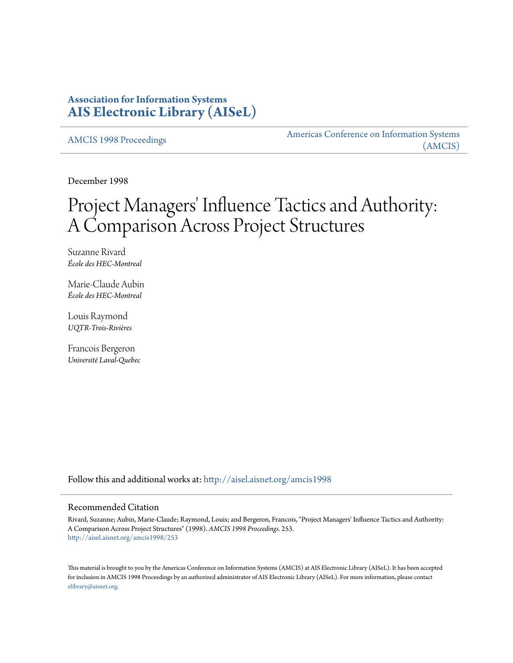# **Association for Information Systems [AIS Electronic Library \(AISeL\)](http://aisel.aisnet.org?utm_source=aisel.aisnet.org%2Famcis1998%2F253&utm_medium=PDF&utm_campaign=PDFCoverPages)**

[AMCIS 1998 Proceedings](http://aisel.aisnet.org/amcis1998?utm_source=aisel.aisnet.org%2Famcis1998%2F253&utm_medium=PDF&utm_campaign=PDFCoverPages)

[Americas Conference on Information Systems](http://aisel.aisnet.org/amcis?utm_source=aisel.aisnet.org%2Famcis1998%2F253&utm_medium=PDF&utm_campaign=PDFCoverPages) [\(AMCIS\)](http://aisel.aisnet.org/amcis?utm_source=aisel.aisnet.org%2Famcis1998%2F253&utm_medium=PDF&utm_campaign=PDFCoverPages)

December 1998

# Project Managers' Influence Tactics and Authority: A Comparison Across Project Structures

Suzanne Rivard *École des HEC-Montreal*

Marie-Claude Aubin *École des HEC-Montreal*

Louis Raymond *UQTR-Trois-Rivières*

Francois Bergeron *Université Laval-Quebec*

Follow this and additional works at: [http://aisel.aisnet.org/amcis1998](http://aisel.aisnet.org/amcis1998?utm_source=aisel.aisnet.org%2Famcis1998%2F253&utm_medium=PDF&utm_campaign=PDFCoverPages)

## Recommended Citation

Rivard, Suzanne; Aubin, Marie-Claude; Raymond, Louis; and Bergeron, Francois, "Project Managers' Influence Tactics and Authority: A Comparison Across Project Structures" (1998). *AMCIS 1998 Proceedings*. 253. [http://aisel.aisnet.org/amcis1998/253](http://aisel.aisnet.org/amcis1998/253?utm_source=aisel.aisnet.org%2Famcis1998%2F253&utm_medium=PDF&utm_campaign=PDFCoverPages)

This material is brought to you by the Americas Conference on Information Systems (AMCIS) at AIS Electronic Library (AISeL). It has been accepted for inclusion in AMCIS 1998 Proceedings by an authorized administrator of AIS Electronic Library (AISeL). For more information, please contact [elibrary@aisnet.org.](mailto:elibrary@aisnet.org%3E)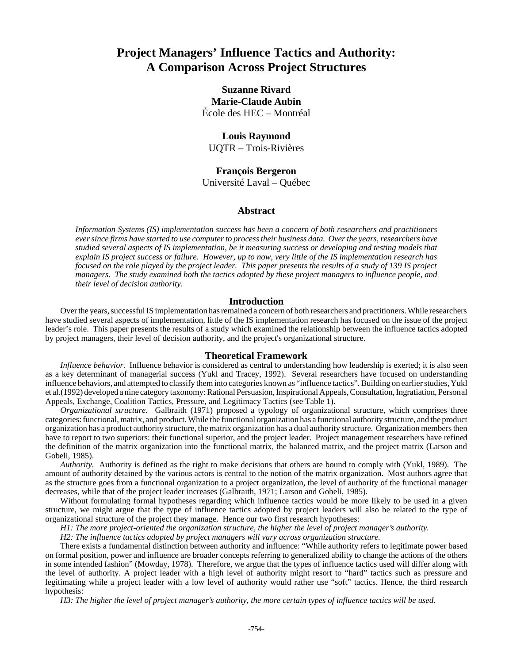# **Project Managers' Influence Tactics and Authority: A Comparison Across Project Structures**

**Suzanne Rivard Marie-Claude Aubin** École des HEC – Montréal

#### **Louis Raymond**

UQTR – Trois-Rivières

## **François Bergeron**

Université Laval – Québec

#### **Abstract**

*Information Systems (IS) implementation success has been a concern of both researchers and practitioners ever since firms have started to use computer to process their business data. Over the years, researchers have studied several aspects of IS implementation, be it measuring success or developing and testing models that explain IS project success or failure. However, up to now, very little of the IS implementation research has focused on the role played by the project leader. This paper presents the results of a study of 139 IS project managers. The study examined both the tactics adopted by these project managers to influence people, and their level of decision authority.* 

#### **Introduction**

Over the years, successful IS implementation has remained a concern of both researchers and practitioners. While researchers have studied several aspects of implementation, little of the IS implementation research has focused on the issue of the project leader's role. This paper presents the results of a study which examined the relationship between the influence tactics adopted by project managers, their level of decision authority, and the project's organizational structure.

#### **Theoretical Framework**

*Influence behavior.* Influence behavior is considered as central to understanding how leadership is exerted; it is also seen as a key determinant of managerial success (Yukl and Tracey, 1992). Several researchers have focused on understanding influence behaviors, and attempted to classify them into categories known as "influence tactics". Building on earlier studies, Yukl et al.(1992) developed a nine category taxonomy: Rational Persuasion, Inspirational Appeals, Consultation, Ingratiation, Personal Appeals, Exchange, Coalition Tactics, Pressure, and Legitimacy Tactics (see Table 1).

*Organizational structure.*Galbraith (1971) proposed a typology of organizational structure, which comprises three categories: functional, matrix, and product. While the functional organization has a functional authority structure, and the product organization has a product authority structure, the matrix organization has a dual authority structure. Organization members then have to report to two superiors: their functional superior, and the project leader. Project management researchers have refined the definition of the matrix organization into the functional matrix, the balanced matrix, and the project matrix (Larson and Gobeli, 1985).

*Authority.* Authority is defined as the right to make decisions that others are bound to comply with (Yukl, 1989). The amount of authority detained by the various actors is central to the notion of the matrix organization. Most authors agree that as the structure goes from a functional organization to a project organization, the level of authority of the functional manager decreases, while that of the project leader increases (Galbraith, 1971; Larson and Gobeli, 1985).

Without formulating formal hypotheses regarding which influence tactics would be more likely to be used in a given structure, we might argue that the type of influence tactics adopted by project leaders will also be related to the type of organizational structure of the project they manage. Hence our two first research hypotheses:

*H1: The more project-oriented the organization structure, the higher the level of project manager's authority.*

*H2: The influence tactics adopted by project managers will vary across organization structure.*

There exists a fundamental distinction between authority and influence: "While authority refers to legitimate power based on formal position, power and influence are broader concepts referring to generalized ability to change the actions of the others in some intended fashion" (Mowday, 1978). Therefore, we argue that the types of influence tactics used will differ along with the level of authority. A project leader with a high level of authority might resort to "hard" tactics such as pressure and legitimating while a project leader with a low level of authority would rather use "soft" tactics. Hence, the third research hypothesis:

*H3: The higher the level of project manager's authority, the more certain types of influence tactics will be used.*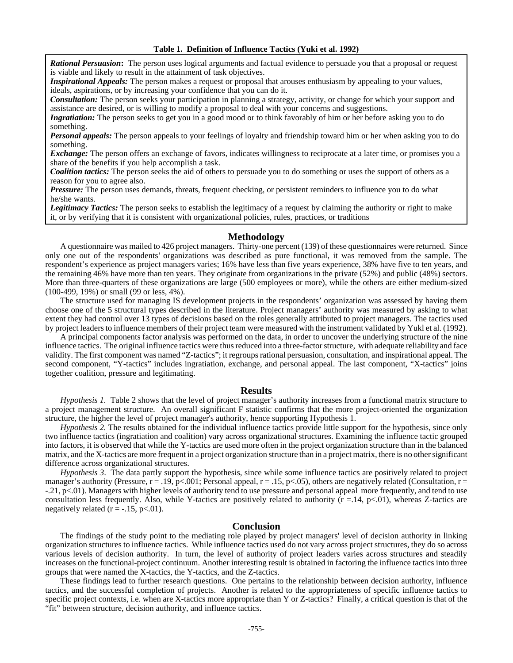*Rational Persuasion***:** The person uses logical arguments and factual evidence to persuade you that a proposal or request is viable and likely to result in the attainment of task objectives.

*Inspirational Appeals:* The person makes a request or proposal that arouses enthusiasm by appealing to your values, ideals, aspirations, or by increasing your confidence that you can do it.

*Consultation:* The person seeks your participation in planning a strategy, activity, or change for which your support and assistance are desired, or is willing to modify a proposal to deal with your concerns and suggestions.

*Ingratiation:* The person seeks to get you in a good mood or to think favorably of him or her before asking you to do something.

*Personal appeals:* The person appeals to your feelings of loyalty and friendship toward him or her when asking you to do something.

*Exchange:* The person offers an exchange of favors, indicates willingness to reciprocate at a later time, or promises you a share of the benefits if you help accomplish a task.

*Coalition tactics:* The person seeks the aid of others to persuade you to do something or uses the support of others as a reason for you to agree also.

*Pressure:* The person uses demands, threats, frequent checking, or persistent reminders to influence you to do what he/she wants.

*Legitimacy Tactics:* The person seeks to establish the legitimacy of a request by claiming the authority or right to make it, or by verifying that it is consistent with organizational policies, rules, practices, or traditions

#### **Methodology**

A questionnaire was mailed to 426 project managers. Thirty-one percent (139) of these questionnaires were returned. Since only one out of the respondents' organizations was described as pure functional, it was removed from the sample. The respondent's experience as project managers varies; 16% have less than five years experience, 38% have five to ten years, and the remaining 46% have more than ten years. They originate from organizations in the private (52%) and public (48%) sectors. More than three-quarters of these organizations are large (500 employees or more), while the others are either medium-sized (100-499, 19%) or small (99 or less, 4%).

The structure used for managing IS development projects in the respondents' organization was assessed by having them choose one of the 5 structural types described in the literature. Project managers' authority was measured by asking to what extent they had control over 13 types of decisions based on the roles generally attributed to project managers. The tactics used by project leaders to influence members of their project team were measured with the instrument validated by Yukl et al. (1992).

A principal components factor analysis was performed on the data, in order to uncover the underlying structure of the nine influence tactics. The original influence tactics were thus reduced into a three-factor structure, with adequate reliability and face validity. The first component was named "Z-tactics"; it regroups rational persuasion, consultation, and inspirational appeal. The second component, "Y-tactics" includes ingratiation, exchange, and personal appeal. The last component, "X-tactics" joins together coalition, pressure and legitimating.

#### **Results**

*Hypothesis 1.* Table 2 shows that the level of project manager's authority increases from a functional matrix structure to a project management structure. An overall significant F statistic confirms that the more project-oriented the organization structure, the higher the level of project manager's authority, hence supporting Hypothesis 1.

*Hypothesis 2.* The results obtained for the individual influence tactics provide little support for the hypothesis, since only two influence tactics (ingratiation and coalition) vary across organizational structures. Examining the influence tactic grouped into factors, it is observed that while the Y-tactics are used more often in the project organization structure than in the balanced matrix, and the X-tactics are more frequent in a project organization structure than in a project matrix, there is no other significant difference across organizational structures.

*Hypothesis 3*. The data partly support the hypothesis, since while some influence tactics are positively related to project manager's authority (Pressure,  $r = .19$ ,  $p < .001$ ; Personal appeal,  $r = .15$ ,  $p < .05$ ), others are negatively related (Consultation,  $r =$ -.21, p<.01). Managers with higher levels of authority tend to use pressure and personal appeal more frequently, and tend to use consultation less frequently. Also, while Y-tactics are positively related to authority  $(r = .14, p < .01)$ , whereas Z-tactics are negatively related  $(r = -.15, p < .01)$ .

#### **Conclusion**

The findings of the study point to the mediating role played by project managers' level of decision authority in linking organization structures to influence tactics. While influence tactics used do not vary across project structures, they do so across various levels of decision authority. In turn, the level of authority of project leaders varies across structures and steadily increases on the functional-project continuum. Another interesting result is obtained in factoring the influence tactics into three groups that were named the X-tactics, the Y-tactics, and the Z-tactics.

These findings lead to further research questions. One pertains to the relationship between decision authority, influence tactics, and the successful completion of projects. Another is related to the appropriateness of specific influence tactics to specific project contexts, i.e. when are X-tactics more appropriate than Y or Z-tactics? Finally, a critical question is that of the "fit" between structure, decision authority, and influence tactics.